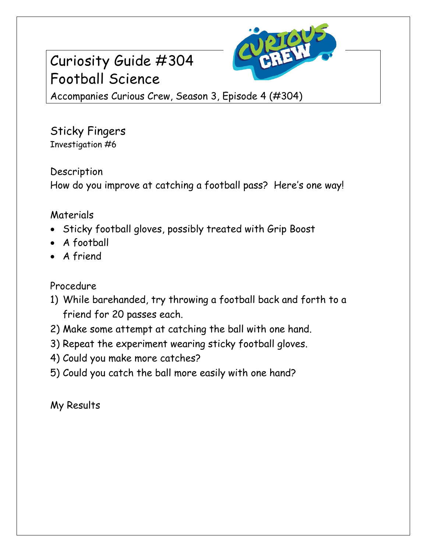## Curiosity Guide #304 Football Science



Accompanies Curious Crew, Season 3, Episode 4 (#304)

Sticky Fingers Investigation #6

Description How do you improve at catching a football pass? Here's one way!

## Materials

- Sticky football gloves, possibly treated with Grip Boost
- A football
- A friend

Procedure

- 1) While barehanded, try throwing a football back and forth to a friend for 20 passes each.
- 2) Make some attempt at catching the ball with one hand.
- 3) Repeat the experiment wearing sticky football gloves.
- 4) Could you make more catches?
- 5) Could you catch the ball more easily with one hand?

My Results